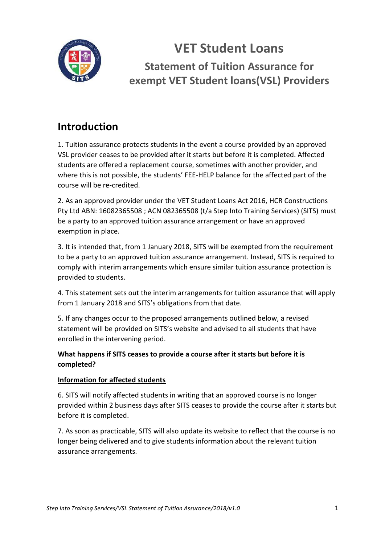

**VET Student Loans Statement of Tuition Assurance for exempt VET Student loans(VSL) Providers**

## **Introduction**

1. Tuition assurance protects students in the event a course provided by an approved VSL provider ceases to be provided after it starts but before it is completed. Affected students are offered a replacement course, sometimes with another provider, and where this is not possible, the students' FEE-HELP balance for the affected part of the course will be re-credited.

2. As an approved provider under the VET Student Loans Act 2016, HCR Constructions Pty Ltd ABN: 16082365508 ; ACN 082365508 (t/a Step Into Training Services) (SITS) must be a party to an approved tuition assurance arrangement or have an approved exemption in place.

3. It is intended that, from 1 January 2018, SITS will be exempted from the requirement to be a party to an approved tuition assurance arrangement. Instead, SITS is required to comply with interim arrangements which ensure similar tuition assurance protection is provided to students.

4. This statement sets out the interim arrangements for tuition assurance that will apply from 1 January 2018 and SITS's obligations from that date.

5. If any changes occur to the proposed arrangements outlined below, a revised statement will be provided on SITS's website and advised to all students that have enrolled in the intervening period.

#### **What happens if SITS ceases to provide a course after it starts but before it is completed?**

#### **Information for affected students**

6. SITS will notify affected students in writing that an approved course is no longer provided within 2 business days after SITS ceases to provide the course after it starts but before it is completed.

7. As soon as practicable, SITS will also update its website to reflect that the course is no longer being delivered and to give students information about the relevant tuition assurance arrangements.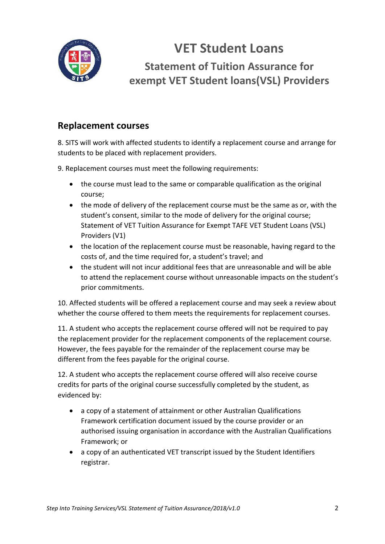

**VET Student Loans**

**Statement of Tuition Assurance for exempt VET Student loans(VSL) Providers**

### **Replacement courses**

8. SITS will work with affected students to identify a replacement course and arrange for students to be placed with replacement providers.

9. Replacement courses must meet the following requirements:

- the course must lead to the same or comparable qualification as the original course;
- the mode of delivery of the replacement course must be the same as or, with the student's consent, similar to the mode of delivery for the original course; Statement of VET Tuition Assurance for Exempt TAFE VET Student Loans (VSL) Providers (V1)
- the location of the replacement course must be reasonable, having regard to the costs of, and the time required for, a student's travel; and
- the student will not incur additional fees that are unreasonable and will be able to attend the replacement course without unreasonable impacts on the student's prior commitments.

10. Affected students will be offered a replacement course and may seek a review about whether the course offered to them meets the requirements for replacement courses.

11. A student who accepts the replacement course offered will not be required to pay the replacement provider for the replacement components of the replacement course. However, the fees payable for the remainder of the replacement course may be different from the fees payable for the original course.

12. A student who accepts the replacement course offered will also receive course credits for parts of the original course successfully completed by the student, as evidenced by:

- a copy of a statement of attainment or other Australian Qualifications Framework certification document issued by the course provider or an authorised issuing organisation in accordance with the Australian Qualifications Framework; or
- a copy of an authenticated VET transcript issued by the Student Identifiers registrar.